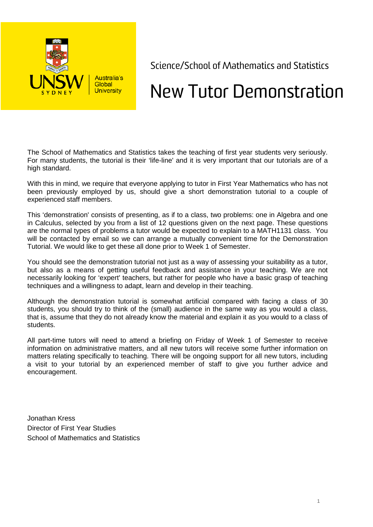

Science/School of Mathematics and Statistics

## New Tutor Demonstration

The School of Mathematics and Statistics takes the teaching of first year students very seriously. For many students, the tutorial is their 'life-line' and it is very important that our tutorials are of a high standard.

With this in mind, we require that everyone applying to tutor in First Year Mathematics who has not been previously employed by us, should give a short demonstration tutorial to a couple of experienced staff members.

This 'demonstration' consists of presenting, as if to a class, two problems: one in Algebra and one in Calculus, selected by you from a list of 12 questions given on the next page. These questions are the normal types of problems a tutor would be expected to explain to a MATH1131 class. You will be contacted by email so we can arrange a mutually convenient time for the Demonstration Tutorial. We would like to get these all done prior to Week 1 of Semester.

You should see the demonstration tutorial not just as a way of assessing your suitability as a tutor, but also as a means of getting useful feedback and assistance in your teaching. We are not necessarily looking for 'expert' teachers, but rather for people who have a basic grasp of teaching techniques and a willingness to adapt, learn and develop in their teaching.

Although the demonstration tutorial is somewhat artificial compared with facing a class of 30 students, you should try to think of the (small) audience in the same way as you would a class, that is, assume that they do not already know the material and explain it as you would to a class of students.

All part-time tutors will need to attend a briefing on Friday of Week 1 of Semester to receive information on administrative matters, and all new tutors will receive some further information on matters relating specifically to teaching. There will be ongoing support for all new tutors, including a visit to your tutorial by an experienced member of staff to give you further advice and encouragement.

Jonathan Kress Director of First Year Studies School of Mathematics and Statistics